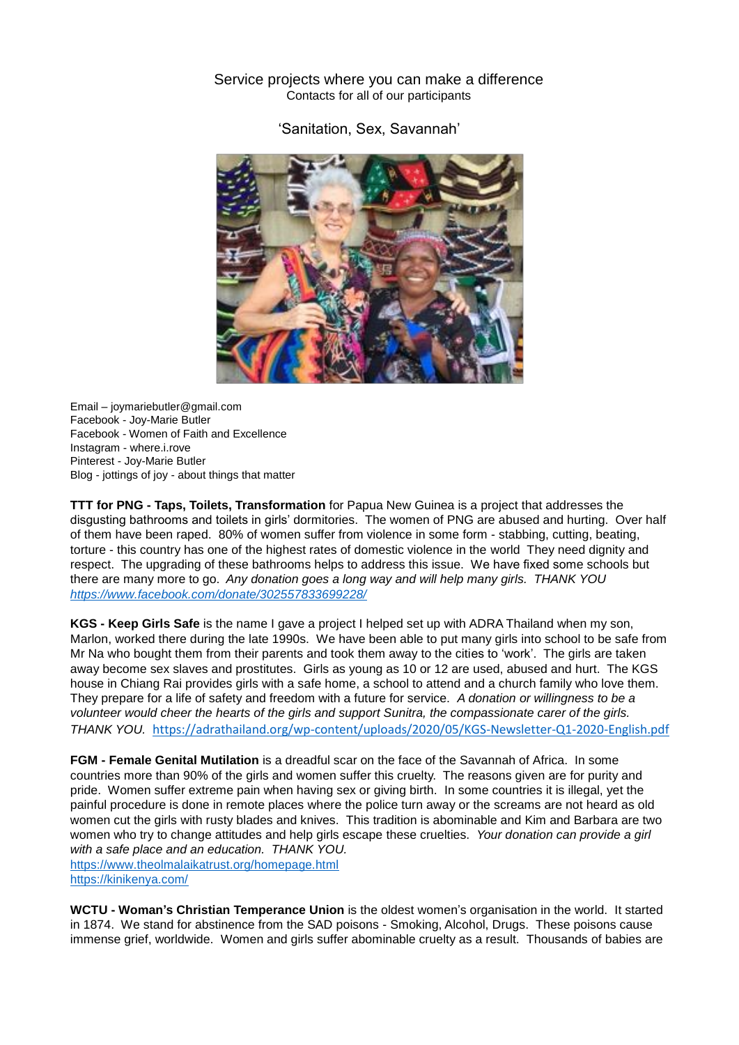# Service projects where you can make a difference Contacts for all of our participants

'Sanitation, Sex, Savannah'



Email – [joymariebutler@gmail.com](mailto:joymariebutler@gmail.com) Facebook - Joy-Marie Butler Facebook - Women of Faith and Excellence Instagram - where.i.rove Pinterest - Joy-Marie Butler Blog - jottings of joy - about things that matter

**TTT for PNG - Taps, Toilets, Transformation** for Papua New Guinea is a project that addresses the disgusting bathrooms and toilets in girls' dormitories. The women of PNG are abused and hurting. Over half of them have been raped. 80% of women suffer from violence in some form - stabbing, cutting, beating, torture - this country has one of the highest rates of domestic violence in the world They need dignity and respect. The upgrading of these bathrooms helps to address this issue. We have fixed some schools but there are many more to go. *Any donation goes a long way and will help many girls. THANK YOU <https://www.facebook.com/donate/302557833699228/>*

**KGS - Keep Girls Safe** is the name I gave a project I helped set up with ADRA Thailand when my son, Marlon, worked there during the late 1990s. We have been able to put many girls into school to be safe from Mr Na who bought them from their parents and took them away to the cities to 'work'. The girls are taken away become sex slaves and prostitutes. Girls as young as 10 or 12 are used, abused and hurt. The KGS house in Chiang Rai provides girls with a safe home, a school to attend and a church family who love them. They prepare for a life of safety and freedom with a future for service. *A donation or willingness to be a volunteer would cheer the hearts of the girls and support Sunitra, the compassionate carer of the girls. THANK YOU.* <https://adrathailand.org/wp-content/uploads/2020/05/KGS-Newsletter-Q1-2020-English.pdf>

**FGM - Female Genital Mutilation** is a dreadful scar on the face of the Savannah of Africa. In some countries more than 90% of the girls and women suffer this cruelty. The reasons given are for purity and pride. Women suffer extreme pain when having sex or giving birth. In some countries it is illegal, yet the painful procedure is done in remote places where the police turn away or the screams are not heard as old women cut the girls with rusty blades and knives. This tradition is abominable and Kim and Barbara are two women who try to change attitudes and help girls escape these cruelties. *Your donation can provide a girl with a safe place and an education. THANK YOU.* <https://www.theolmalaikatrust.org/homepage.html>

<https://kinikenya.com/>

**WCTU - Woman's Christian Temperance Union** is the oldest women's organisation in the world. It started in 1874. We stand for abstinence from the SAD poisons - Smoking, Alcohol, Drugs. These poisons cause immense grief, worldwide. Women and girls suffer abominable cruelty as a result. Thousands of babies are